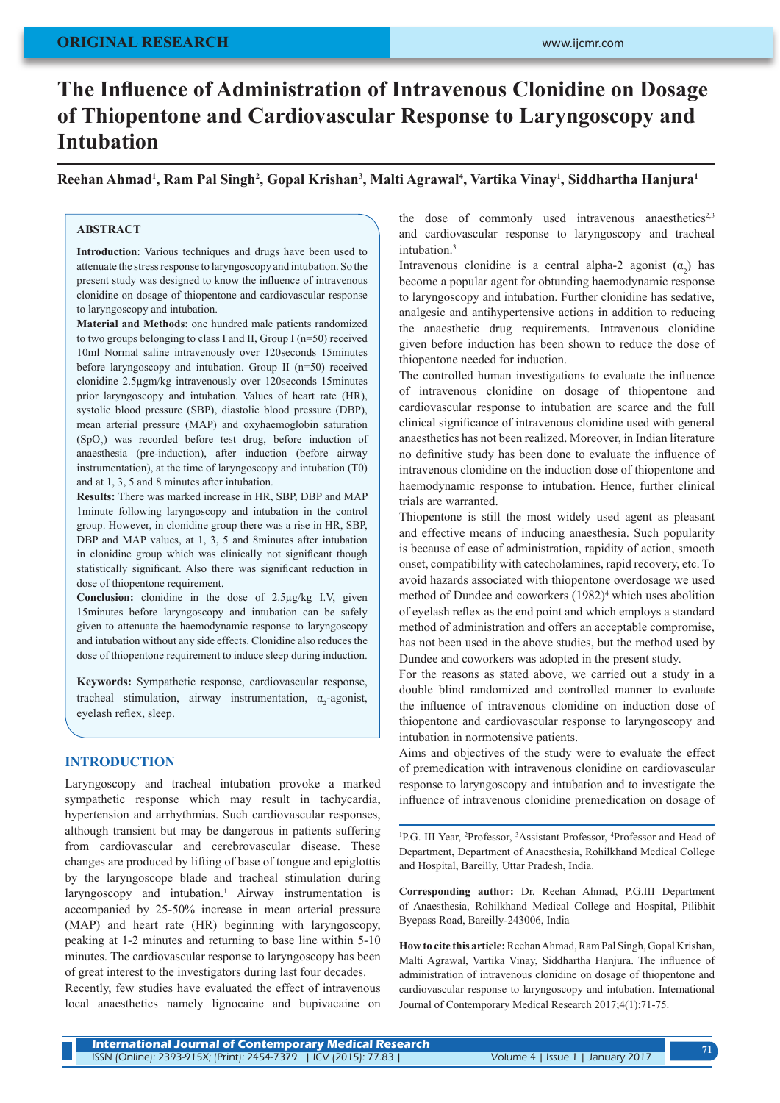# **ORIGINAL RESEARCH**

# **The Influence of Administration of Intravenous Clonidine on Dosage of Thiopentone and Cardiovascular Response to Laryngoscopy and Intubation**

**Reehan Ahmad<sup>1</sup> , Ram Pal Singh<sup>2</sup> , Gopal Krishan<sup>3</sup> , Malti Agrawal<sup>4</sup> , Vartika Vinay<sup>1</sup> , Siddhartha Hanjura<sup>1</sup>**

## **ABSTRACT**

**Introduction**: Various techniques and drugs have been used to attenuate the stress response to laryngoscopy and intubation. So the present study was designed to know the influence of intravenous clonidine on dosage of thiopentone and cardiovascular response to laryngoscopy and intubation.

**Material and Methods**: one hundred male patients randomized to two groups belonging to class I and II, Group I (n=50) received 10ml Normal saline intravenously over 120seconds 15minutes before laryngoscopy and intubation. Group II (n=50) received clonidine 2.5µgm/kg intravenously over 120seconds 15minutes prior laryngoscopy and intubation. Values of heart rate (HR), systolic blood pressure (SBP), diastolic blood pressure (DBP), mean arterial pressure (MAP) and oxyhaemoglobin saturation  $(SpO<sub>2</sub>)$  was recorded before test drug, before induction of anaesthesia (pre-induction), after induction (before airway instrumentation), at the time of laryngoscopy and intubation (T0) and at 1, 3, 5 and 8 minutes after intubation.

**Results:** There was marked increase in HR, SBP, DBP and MAP 1minute following laryngoscopy and intubation in the control group. However, in clonidine group there was a rise in HR, SBP, DBP and MAP values, at 1, 3, 5 and 8minutes after intubation in clonidine group which was clinically not significant though statistically significant. Also there was significant reduction in dose of thiopentone requirement.

**Conclusion:** clonidine in the dose of 2.5µg/kg I.V, given 15minutes before laryngoscopy and intubation can be safely given to attenuate the haemodynamic response to laryngoscopy and intubation without any side effects. Clonidine also reduces the dose of thiopentone requirement to induce sleep during induction.

**Keywords:** Sympathetic response, cardiovascular response, tracheal stimulation, airway instrumentation,  $\alpha_2$ -agonist, eyelash reflex, sleep.

## **INTRODUCTION**

Laryngoscopy and tracheal intubation provoke a marked sympathetic response which may result in tachycardia, hypertension and arrhythmias. Such cardiovascular responses, although transient but may be dangerous in patients suffering from cardiovascular and cerebrovascular disease. These changes are produced by lifting of base of tongue and epiglottis by the laryngoscope blade and tracheal stimulation during laryngoscopy and intubation.<sup>1</sup> Airway instrumentation is accompanied by 25-50% increase in mean arterial pressure (MAP) and heart rate (HR) beginning with laryngoscopy, peaking at 1-2 minutes and returning to base line within 5-10 minutes. The cardiovascular response to laryngoscopy has been of great interest to the investigators during last four decades.

Recently, few studies have evaluated the effect of intravenous local anaesthetics namely lignocaine and bupivacaine on the dose of commonly used intravenous anaesthetics<sup>2,3</sup> and cardiovascular response to laryngoscopy and tracheal intubation.3

Intravenous clonidine is a central alpha-2 agonist  $(\alpha_2)$  has become a popular agent for obtunding haemodynamic response to laryngoscopy and intubation. Further clonidine has sedative, analgesic and antihypertensive actions in addition to reducing the anaesthetic drug requirements. Intravenous clonidine given before induction has been shown to reduce the dose of thiopentone needed for induction.

The controlled human investigations to evaluate the influence of intravenous clonidine on dosage of thiopentone and cardiovascular response to intubation are scarce and the full clinical significance of intravenous clonidine used with general anaesthetics has not been realized. Moreover, in Indian literature no definitive study has been done to evaluate the influence of intravenous clonidine on the induction dose of thiopentone and haemodynamic response to intubation. Hence, further clinical trials are warranted.

Thiopentone is still the most widely used agent as pleasant and effective means of inducing anaesthesia. Such popularity is because of ease of administration, rapidity of action, smooth onset, compatibility with catecholamines, rapid recovery, etc. To avoid hazards associated with thiopentone overdosage we used method of Dundee and coworkers (1982)<sup>4</sup> which uses abolition of eyelash reflex as the end point and which employs a standard method of administration and offers an acceptable compromise, has not been used in the above studies, but the method used by Dundee and coworkers was adopted in the present study.

For the reasons as stated above, we carried out a study in a double blind randomized and controlled manner to evaluate the influence of intravenous clonidine on induction dose of thiopentone and cardiovascular response to laryngoscopy and intubation in normotensive patients.

Aims and objectives of the study were to evaluate the effect of premedication with intravenous clonidine on cardiovascular response to laryngoscopy and intubation and to investigate the influence of intravenous clonidine premedication on dosage of

<sup>1</sup>P.G. III Year, <sup>2</sup>Professor, <sup>3</sup>Assistant Professor, <sup>4</sup>Professor and Head of Department, Department of Anaesthesia, Rohilkhand Medical College and Hospital, Bareilly, Uttar Pradesh, India.

**Corresponding author:** Dr. Reehan Ahmad, P.G.III Department of Anaesthesia, Rohilkhand Medical College and Hospital, Pilibhit Byepass Road, Bareilly-243006, India

**How to cite this article:** Reehan Ahmad, Ram Pal Singh, Gopal Krishan, Malti Agrawal, Vartika Vinay, Siddhartha Hanjura. The influence of administration of intravenous clonidine on dosage of thiopentone and cardiovascular response to laryngoscopy and intubation. International Journal of Contemporary Medical Research 2017;4(1):71-75.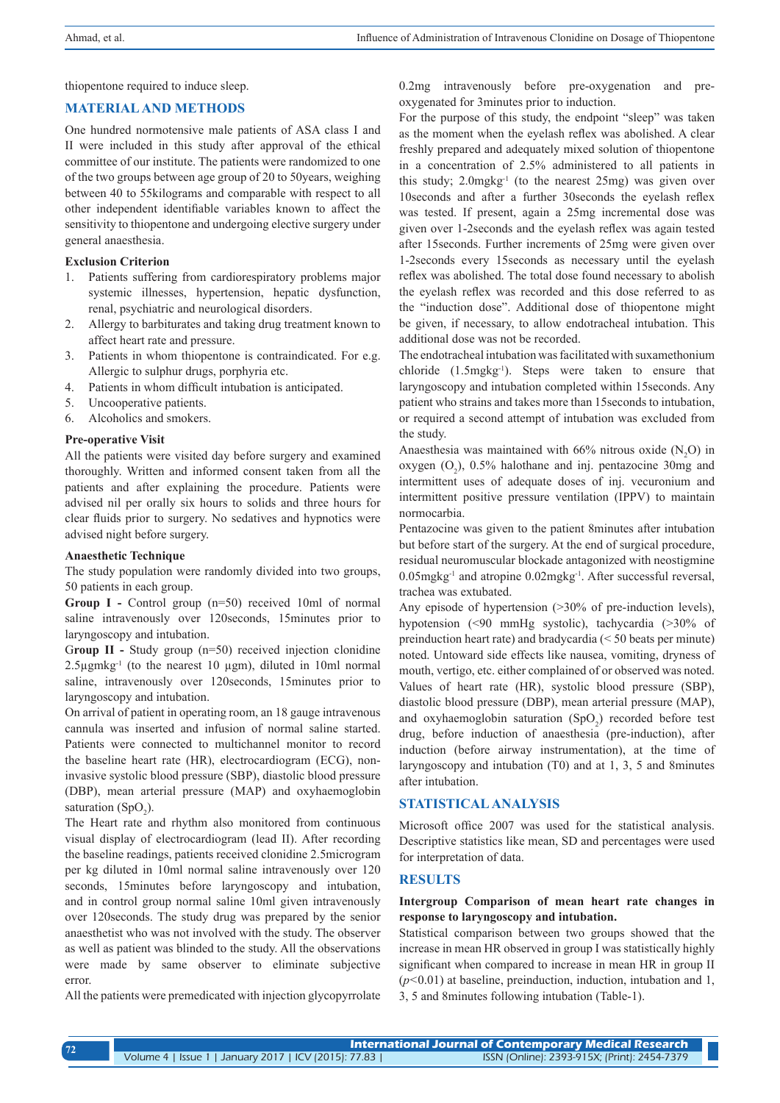thiopentone required to induce sleep.

# **MATERIAL AND METHODS**

One hundred normotensive male patients of ASA class I and II were included in this study after approval of the ethical committee of our institute. The patients were randomized to one of the two groups between age group of 20 to 50years, weighing between 40 to 55kilograms and comparable with respect to all other independent identifiable variables known to affect the sensitivity to thiopentone and undergoing elective surgery under general anaesthesia.

#### **Exclusion Criterion**

- 1. Patients suffering from cardiorespiratory problems major systemic illnesses, hypertension, hepatic dysfunction, renal, psychiatric and neurological disorders.
- 2. Allergy to barbiturates and taking drug treatment known to affect heart rate and pressure.
- 3. Patients in whom thiopentone is contraindicated. For e.g. Allergic to sulphur drugs, porphyria etc.
- 4. Patients in whom difficult intubation is anticipated.
- 5. Uncooperative patients.
- 6. Alcoholics and smokers.

#### **Pre-operative Visit**

All the patients were visited day before surgery and examined thoroughly. Written and informed consent taken from all the patients and after explaining the procedure. Patients were advised nil per orally six hours to solids and three hours for clear fluids prior to surgery. No sedatives and hypnotics were advised night before surgery.

#### **Anaesthetic Technique**

The study population were randomly divided into two groups, 50 patients in each group.

Group I - Control group (n=50) received 10ml of normal saline intravenously over 120seconds, 15minutes prior to laryngoscopy and intubation.

Group II - Study group (n=50) received injection clonidine  $2.5\mu$ gmkg<sup>-1</sup> (to the nearest 10  $\mu$ gm), diluted in 10ml normal saline, intravenously over 120seconds, 15minutes prior to laryngoscopy and intubation.

On arrival of patient in operating room, an 18 gauge intravenous cannula was inserted and infusion of normal saline started. Patients were connected to multichannel monitor to record the baseline heart rate (HR), electrocardiogram (ECG), noninvasive systolic blood pressure (SBP), diastolic blood pressure (DBP), mean arterial pressure (MAP) and oxyhaemoglobin saturation (SpO<sub>2</sub>).

The Heart rate and rhythm also monitored from continuous visual display of electrocardiogram (lead II). After recording the baseline readings, patients received clonidine 2.5microgram per kg diluted in 10ml normal saline intravenously over 120 seconds, 15minutes before laryngoscopy and intubation, and in control group normal saline 10ml given intravenously over 120seconds. The study drug was prepared by the senior anaesthetist who was not involved with the study. The observer as well as patient was blinded to the study. All the observations were made by same observer to eliminate subjective error.

All the patients were premedicated with injection glycopyrrolate

0.2mg intravenously before pre-oxygenation and preoxygenated for 3minutes prior to induction.

For the purpose of this study, the endpoint "sleep" was taken as the moment when the eyelash reflex was abolished. A clear freshly prepared and adequately mixed solution of thiopentone in a concentration of 2.5% administered to all patients in this study; 2.0mgkg-1 (to the nearest 25mg) was given over 10seconds and after a further 30seconds the eyelash reflex was tested. If present, again a 25mg incremental dose was given over 1-2seconds and the eyelash reflex was again tested after 15seconds. Further increments of 25mg were given over 1-2seconds every 15seconds as necessary until the eyelash reflex was abolished. The total dose found necessary to abolish the eyelash reflex was recorded and this dose referred to as the "induction dose". Additional dose of thiopentone might be given, if necessary, to allow endotracheal intubation. This additional dose was not be recorded.

The endotracheal intubation was facilitated with suxamethonium chloride (1.5mgkg-1). Steps were taken to ensure that laryngoscopy and intubation completed within 15seconds. Any patient who strains and takes more than 15seconds to intubation, or required a second attempt of intubation was excluded from the study.

Anaesthesia was maintained with  $66\%$  nitrous oxide (N<sub>2</sub>O) in oxygen  $(O_2)$ , 0.5% halothane and inj. pentazocine 30mg and intermittent uses of adequate doses of inj. vecuronium and intermittent positive pressure ventilation (IPPV) to maintain normocarbia.

Pentazocine was given to the patient 8minutes after intubation but before start of the surgery. At the end of surgical procedure, residual neuromuscular blockade antagonized with neostigmine 0.05mgkg-1 and atropine 0.02mgkg-1. After successful reversal, trachea was extubated.

Any episode of hypertension (>30% of pre-induction levels), hypotension (<90 mmHg systolic), tachycardia (>30% of preinduction heart rate) and bradycardia (< 50 beats per minute) noted. Untoward side effects like nausea, vomiting, dryness of mouth, vertigo, etc. either complained of or observed was noted. Values of heart rate (HR), systolic blood pressure (SBP), diastolic blood pressure (DBP), mean arterial pressure (MAP), and oxyhaemoglobin saturation  $(SpO<sub>2</sub>)$  recorded before test drug, before induction of anaesthesia (pre-induction), after induction (before airway instrumentation), at the time of laryngoscopy and intubation (T0) and at 1, 3, 5 and 8minutes after intubation.

# **STATISTICAL ANALYSIS**

Microsoft office 2007 was used for the statistical analysis. Descriptive statistics like mean, SD and percentages were used for interpretation of data.

# **RESULTS**

#### **Intergroup Comparison of mean heart rate changes in response to laryngoscopy and intubation.**

Statistical comparison between two groups showed that the increase in mean HR observed in group I was statistically highly significant when compared to increase in mean HR in group II (*p<*0.01) at baseline, preinduction, induction, intubation and 1, 3, 5 and 8minutes following intubation (Table-1).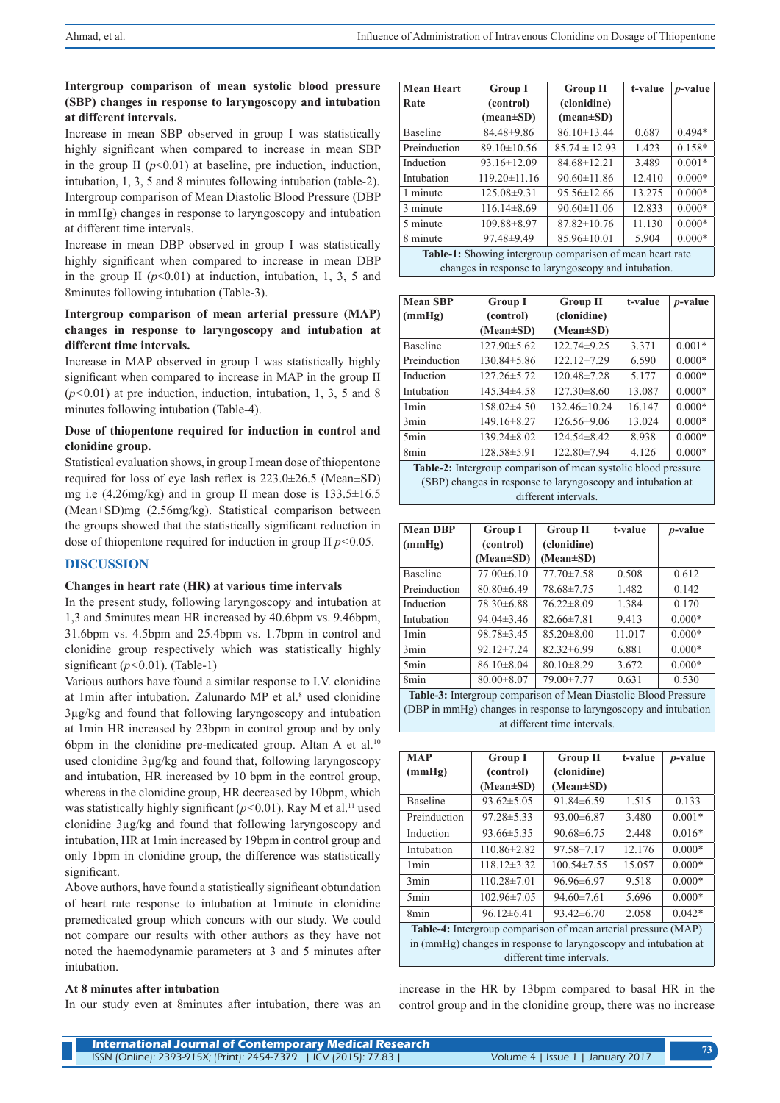# **Intergroup comparison of mean systolic blood pressure (SBP) changes in response to laryngoscopy and intubation at different intervals.**

Increase in mean SBP observed in group I was statistically highly significant when compared to increase in mean SBP in the group II  $(p<0.01)$  at baseline, pre induction, induction, intubation, 1, 3, 5 and 8 minutes following intubation (table-2). Intergroup comparison of Mean Diastolic Blood Pressure (DBP in mmHg) changes in response to laryngoscopy and intubation at different time intervals.

Increase in mean DBP observed in group I was statistically highly significant when compared to increase in mean DBP in the group II  $(p<0.01)$  at induction, intubation, 1, 3, 5 and 8minutes following intubation (Table-3).

#### **Intergroup comparison of mean arterial pressure (MAP) changes in response to laryngoscopy and intubation at different time intervals.**

Increase in MAP observed in group I was statistically highly significant when compared to increase in MAP in the group II (*p<*0.01) at pre induction, induction, intubation, 1, 3, 5 and 8 minutes following intubation (Table-4).

#### **Dose of thiopentone required for induction in control and clonidine group.**

Statistical evaluation shows, in group I mean dose of thiopentone required for loss of eye lash reflex is 223.0±26.5 (Mean±SD) mg i.e (4.26mg/kg) and in group II mean dose is 133.5±16.5 (Mean±SD)mg (2.56mg/kg). Statistical comparison between the groups showed that the statistically significant reduction in dose of thiopentone required for induction in group II *p<*0.05.

#### **DISCUSSION**

#### **Changes in heart rate (HR) at various time intervals**

In the present study, following laryngoscopy and intubation at 1,3 and 5minutes mean HR increased by 40.6bpm vs. 9.46bpm, 31.6bpm vs. 4.5bpm and 25.4bpm vs. 1.7bpm in control and clonidine group respectively which was statistically highly significant (*p<*0.01). (Table-1)

Various authors have found a similar response to I.V. clonidine at 1min after intubation. Zalunardo MP et al.<sup>8</sup> used clonidine 3µg/kg and found that following laryngoscopy and intubation at 1min HR increased by 23bpm in control group and by only 6bpm in the clonidine pre-medicated group. Altan A et al.<sup>10</sup> used clonidine 3µg/kg and found that, following laryngoscopy and intubation, HR increased by 10 bpm in the control group, whereas in the clonidine group, HR decreased by 10bpm, which was statistically highly significant  $(p<0.01)$ . Ray M et al.<sup>11</sup> used clonidine 3µg/kg and found that following laryngoscopy and intubation, HR at 1min increased by 19bpm in control group and only 1bpm in clonidine group, the difference was statistically significant

Above authors, have found a statistically significant obtundation of heart rate response to intubation at 1minute in clonidine premedicated group which concurs with our study. We could not compare our results with other authors as they have not noted the haemodynamic parameters at 3 and 5 minutes after intubation.

#### **At 8 minutes after intubation**

In our study even at 8minutes after intubation, there was an

| <b>Mean Heart</b>                                         | <b>Group I</b>                | <b>Group II</b>               | t-value | <i>p</i> -value |
|-----------------------------------------------------------|-------------------------------|-------------------------------|---------|-----------------|
| Rate                                                      | (control)                     | (clonidine)                   |         |                 |
|                                                           | $(\text{mean} \pm \text{SD})$ | $(\text{mean} \pm \text{SD})$ |         |                 |
| <b>Baseline</b>                                           | $84.48\pm9.86$                | $86.10 \pm 13.44$             | 0.687   | $0.494*$        |
| Preinduction                                              | $89.10 \pm 10.56$             | $85.74 \pm 12.93$             | 1.423   | $0.158*$        |
| Induction                                                 | $93.16 \pm 12.09$             | $84.68 \pm 12.21$             | 3.489   | $0.001*$        |
| Intubation                                                | $119.20 \pm 11.16$            | $90.60 \pm 11.86$             | 12.410  | $0.000*$        |
| 1 minute                                                  | 125.08±9.31                   | $95.56 \pm 12.66$             | 13.275  | $0.000*$        |
| 3 minute                                                  | $116.14\pm8.69$               | $90.60 \pm 11.06$             | 12.833  | $0.000*$        |
| 5 minute                                                  | $109.88 \pm 8.97$             | $87.82 \pm 10.76$             | 11.130  | $0.000*$        |
| 8 minute                                                  | $97.48 \pm 9.49$              | $85.96 \pm 10.01$             | 5.904   | $0.000*$        |
| Table-1: Showing intergroup comparison of mean heart rate |                               |                               |         |                 |
| changes in response to laryngoscopy and intubation.       |                               |                               |         |                 |

| <b>Mean SBP</b>                                                       | <b>Group I</b>    | <b>Group II</b>   | t-value | <i>p</i> -value |
|-----------------------------------------------------------------------|-------------------|-------------------|---------|-----------------|
| (mmHg)                                                                | (control)         | (clonidine)       |         |                 |
|                                                                       | $(Mean \pm SD)$   | $(Mean \pm SD)$   |         |                 |
| <b>Baseline</b>                                                       | $127.90 \pm 5.62$ | 122.74±9.25       | 3.371   | $0.001*$        |
| Preinduction                                                          | $130.84 \pm 5.86$ | $122.12 \pm 7.29$ | 6.590   | $0.000*$        |
| Induction                                                             | $127.26 \pm 5.72$ | $120.48 \pm 7.28$ | 5.177   | $0.000*$        |
| Intubation                                                            | $145.34\pm4.58$   | $127.30\pm8.60$   | 13.087  | $0.000*$        |
| 1 <sub>min</sub>                                                      | $158.02\pm4.50$   | 132.46±10.24      | 16.147  | $0.000*$        |
| 3 <sub>min</sub>                                                      | $149.16 \pm 8.27$ | $126.56 \pm 9.06$ | 13.024  | $0.000*$        |
| 5 <sub>min</sub>                                                      | $139.24 \pm 8.02$ | $124.54\pm8.42$   | 8.938   | $0.000*$        |
| 8min                                                                  | 128.58±5.91       | 122.80±7.94       | 4.126   | $0.000*$        |
| <b>Table-2:</b> Intergroup comparison of mean systolic blood pressure |                   |                   |         |                 |

(SBP) changes in response to laryngoscopy and intubation at different intervals.

| <b>Mean DBP</b>                                                                                                                     | <b>Group I</b>   | <b>Group II</b>  | t-value | <i>p</i> -value |
|-------------------------------------------------------------------------------------------------------------------------------------|------------------|------------------|---------|-----------------|
| (mmHg)                                                                                                                              | (control)        | (clonidine)      |         |                 |
|                                                                                                                                     | (Mean±SD)        | $(Mean \pm SD)$  |         |                 |
| <b>Baseline</b>                                                                                                                     | $77.00\pm 6.10$  | $77.70 \pm 7.58$ | 0.508   | 0.612           |
| Preinduction                                                                                                                        | $80.80\pm 6.49$  | 78.68±7.75       | 1.482   | 0.142           |
| Induction                                                                                                                           | 78.30 ± 6.88     | $76.22 \pm 8.09$ | 1.384   | 0.170           |
| Intubation                                                                                                                          | $94.04\pm3.46$   | $82.66 \pm 7.81$ | 9.413   | $0.000*$        |
| 1 <sub>min</sub>                                                                                                                    | $98.78 \pm 3.45$ | $85.20 \pm 8.00$ | 11.017  | $0.000*$        |
| 3min                                                                                                                                | $92.12 \pm 7.24$ | $82.32\pm 6.99$  | 6.881   | $0.000*$        |
| 5 <sub>min</sub>                                                                                                                    | $86.10 \pm 8.04$ | $80.10 \pm 8.29$ | 3.672   | $0.000*$        |
| 8min                                                                                                                                | $80.00 \pm 8.07$ | 79.00±7.77       | 0.631   | 0.530           |
| Table-3: Intergroup comparison of Mean Diastolic Blood Pressure<br>(DBP in mmHg) changes in response to laryngoscopy and intubation |                  |                  |         |                 |

at different time intervals.

| <b>MAP</b>                                                      | <b>Group I</b>    | <b>Group II</b>   | t-value | <i>p</i> -value |
|-----------------------------------------------------------------|-------------------|-------------------|---------|-----------------|
| (mmHg)                                                          | (control)         | (clonidine)       |         |                 |
|                                                                 | (Mean±SD)         | $(Mean \pm SD)$   |         |                 |
| <b>Baseline</b>                                                 | $93.62 \pm 5.05$  | $91.84\pm 6.59$   | 1.515   | 0.133           |
| Preinduction                                                    | $97.28 \pm 5.33$  | $93.00\pm 6.87$   | 3.480   | $0.001*$        |
| Induction                                                       | $93.66 \pm 5.35$  | $90.68\pm 6.75$   | 2.448   | $0.016*$        |
| Intubation                                                      | 110.86±2.82       | $97.58 \pm 7.17$  | 12.176  | $0.000*$        |
| 1 <sub>min</sub>                                                | $118.12\pm3.32$   | $100.54 \pm 7.55$ | 15.057  | $0.000*$        |
| 3 <sub>min</sub>                                                | $110.28 \pm 7.01$ | $96.96\pm 6.97$   | 9.518   | $0.000*$        |
| 5 <sub>min</sub>                                                | $102.96 \pm 7.05$ | $94.60 \pm 7.61$  | 5.696   | $0.000*$        |
| 8 <sub>min</sub>                                                | $96.12\pm 6.41$   | $93.42\pm 6.70$   | 2.058   | $0.042*$        |
| Table-4: Intergroup comparison of mean arterial pressure (MAP)  |                   |                   |         |                 |
| in (mmHg) changes in response to laryngoscopy and intubation at |                   |                   |         |                 |
| different time intervals.                                       |                   |                   |         |                 |

increase in the HR by 13bpm compared to basal HR in the control group and in the clonidine group, there was no increase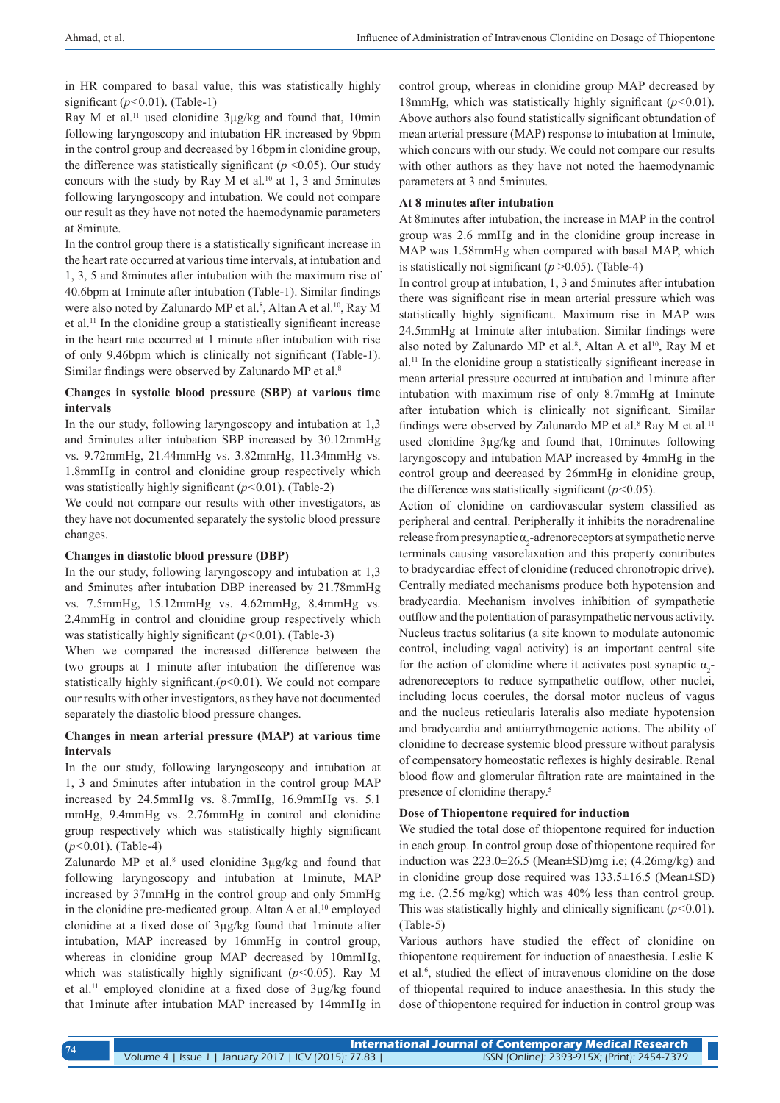in HR compared to basal value, this was statistically highly significant (*p<*0.01). (Table-1)

Ray M et al.<sup>11</sup> used clonidine 3µg/kg and found that, 10min following laryngoscopy and intubation HR increased by 9bpm in the control group and decreased by 16bpm in clonidine group, the difference was statistically significant  $(p \le 0.05)$ . Our study concurs with the study by Ray M et al.<sup>10</sup> at 1, 3 and 5minutes following laryngoscopy and intubation. We could not compare our result as they have not noted the haemodynamic parameters at 8minute.

In the control group there is a statistically significant increase in the heart rate occurred at various time intervals, at intubation and 1, 3, 5 and 8minutes after intubation with the maximum rise of 40.6bpm at 1minute after intubation (Table-1). Similar findings were also noted by Zalunardo MP et al.<sup>8</sup>, Altan A et al.<sup>10</sup>, Ray M et al.11 In the clonidine group a statistically significant increase in the heart rate occurred at 1 minute after intubation with rise of only 9.46bpm which is clinically not significant (Table-1). Similar findings were observed by Zalunardo MP et al.<sup>8</sup>

#### **Changes in systolic blood pressure (SBP) at various time intervals**

In the our study, following laryngoscopy and intubation at 1,3 and 5minutes after intubation SBP increased by 30.12mmHg vs. 9.72mmHg, 21.44mmHg vs. 3.82mmHg, 11.34mmHg vs. 1.8mmHg in control and clonidine group respectively which was statistically highly significant (*p<*0.01). (Table-2)

We could not compare our results with other investigators, as they have not documented separately the systolic blood pressure changes.

#### **Changes in diastolic blood pressure (DBP)**

In the our study, following laryngoscopy and intubation at 1,3 and 5minutes after intubation DBP increased by 21.78mmHg vs. 7.5mmHg, 15.12mmHg vs. 4.62mmHg, 8.4mmHg vs. 2.4mmHg in control and clonidine group respectively which was statistically highly significant (*p<*0.01). (Table-3)

When we compared the increased difference between the two groups at 1 minute after intubation the difference was statistically highly significant. $(p<0.01)$ . We could not compare our results with other investigators, as they have not documented separately the diastolic blood pressure changes.

#### **Changes in mean arterial pressure (MAP) at various time intervals**

In the our study, following laryngoscopy and intubation at 1, 3 and 5minutes after intubation in the control group MAP increased by 24.5mmHg vs. 8.7mmHg, 16.9mmHg vs. 5.1 mmHg, 9.4mmHg vs. 2.76mmHg in control and clonidine group respectively which was statistically highly significant (*p<*0.01). (Table-4)

Zalunardo MP et al. $8$  used clonidine  $3\mu g/kg$  and found that following laryngoscopy and intubation at 1minute, MAP increased by 37mmHg in the control group and only 5mmHg in the clonidine pre-medicated group. Altan A et al.<sup>10</sup> employed clonidine at a fixed dose of 3µg/kg found that 1minute after intubation, MAP increased by 16mmHg in control group, whereas in clonidine group MAP decreased by 10mmHg, which was statistically highly significant (*p<*0.05). Ray M et al.11 employed clonidine at a fixed dose of 3µg/kg found that 1minute after intubation MAP increased by 14mmHg in control group, whereas in clonidine group MAP decreased by 18mmHg, which was statistically highly significant (*p<*0.01). Above authors also found statistically significant obtundation of mean arterial pressure (MAP) response to intubation at 1minute, which concurs with our study. We could not compare our results with other authors as they have not noted the haemodynamic parameters at 3 and 5minutes.

#### **At 8 minutes after intubation**

At 8minutes after intubation, the increase in MAP in the control group was 2.6 mmHg and in the clonidine group increase in MAP was 1.58mmHg when compared with basal MAP, which is statistically not significant (*p* >0.05). (Table-4)

In control group at intubation, 1, 3 and 5minutes after intubation there was significant rise in mean arterial pressure which was statistically highly significant. Maximum rise in MAP was 24.5mmHg at 1minute after intubation. Similar findings were also noted by Zalunardo MP et al.<sup>8</sup>, Altan A et al<sup>10</sup>, Ray M et al.11 In the clonidine group a statistically significant increase in mean arterial pressure occurred at intubation and 1minute after intubation with maximum rise of only 8.7mmHg at 1minute after intubation which is clinically not significant. Similar findings were observed by Zalunardo MP et al.<sup>8</sup> Ray M et al.<sup>11</sup> used clonidine 3µg/kg and found that, 10minutes following laryngoscopy and intubation MAP increased by 4mmHg in the control group and decreased by 26mmHg in clonidine group, the difference was statistically significant (*p<*0.05).

Action of clonidine on cardiovascular system classified as peripheral and central. Peripherally it inhibits the noradrenaline release from presynaptic  $\alpha_2$ -adrenoreceptors at sympathetic nerve terminals causing vasorelaxation and this property contributes to bradycardiac effect of clonidine (reduced chronotropic drive). Centrally mediated mechanisms produce both hypotension and bradycardia. Mechanism involves inhibition of sympathetic outflow and the potentiation of parasympathetic nervous activity. Nucleus tractus solitarius (a site known to modulate autonomic control, including vagal activity) is an important central site for the action of clonidine where it activates post synaptic  $\alpha_2$ adrenoreceptors to reduce sympathetic outflow, other nuclei, including locus coerules, the dorsal motor nucleus of vagus and the nucleus reticularis lateralis also mediate hypotension and bradycardia and antiarrythmogenic actions. The ability of clonidine to decrease systemic blood pressure without paralysis of compensatory homeostatic reflexes is highly desirable. Renal blood flow and glomerular filtration rate are maintained in the presence of clonidine therapy.<sup>5</sup>

#### **Dose of Thiopentone required for induction**

We studied the total dose of thiopentone required for induction in each group. In control group dose of thiopentone required for induction was 223.0±26.5 (Mean±SD)mg i.e; (4.26mg/kg) and in clonidine group dose required was 133.5±16.5 (Mean±SD) mg i.e. (2.56 mg/kg) which was 40% less than control group. This was statistically highly and clinically significant (*p<*0.01). (Table-5)

Various authors have studied the effect of clonidine on thiopentone requirement for induction of anaesthesia. Leslie K et al.<sup>6</sup> , studied the effect of intravenous clonidine on the dose of thiopental required to induce anaesthesia. In this study the dose of thiopentone required for induction in control group was